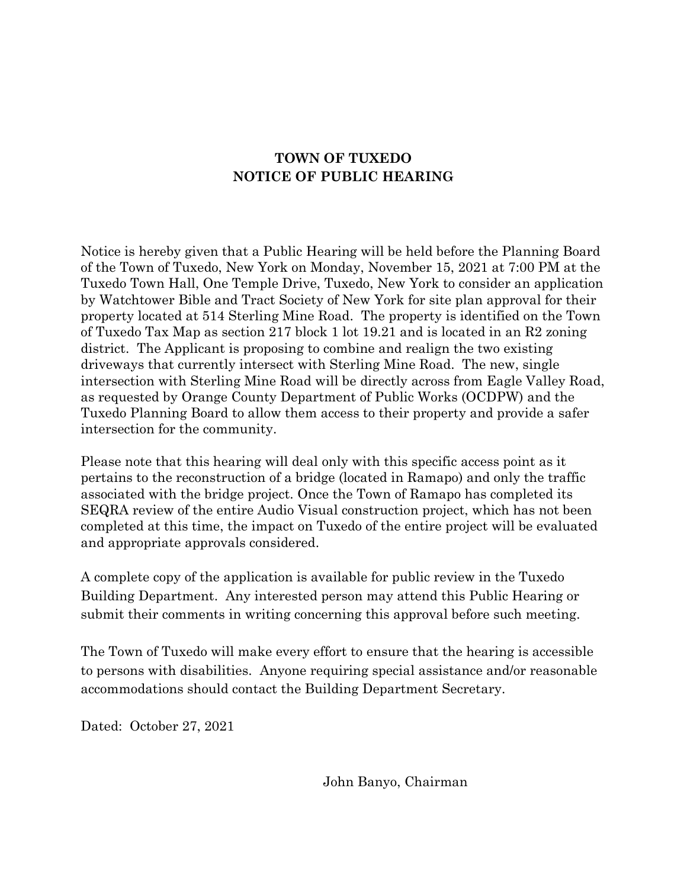## **TOWN OF TUXEDO NOTICE OF PUBLIC HEARING**

Notice is hereby given that a Public Hearing will be held before the Planning Board of the Town of Tuxedo, New York on Monday, November 15, 2021 at 7:00 PM at the Tuxedo Town Hall, One Temple Drive, Tuxedo, New York to consider an application by Watchtower Bible and Tract Society of New York for site plan approval for their property located at 514 Sterling Mine Road. The property is identified on the Town of Tuxedo Tax Map as section 217 block 1 lot 19.21 and is located in an R2 zoning district. The Applicant is proposing to combine and realign the two existing driveways that currently intersect with Sterling Mine Road. The new, single intersection with Sterling Mine Road will be directly across from Eagle Valley Road, as requested by Orange County Department of Public Works (OCDPW) and the Tuxedo Planning Board to allow them access to their property and provide a safer intersection for the community.

Please note that this hearing will deal only with this specific access point as it pertains to the reconstruction of a bridge (located in Ramapo) and only the traffic associated with the bridge project. Once the Town of Ramapo has completed its SEQRA review of the entire Audio Visual construction project, which has not been completed at this time, the impact on Tuxedo of the entire project will be evaluated and appropriate approvals considered.

A complete copy of the application is available for public review in the Tuxedo Building Department. Any interested person may attend this Public Hearing or submit their comments in writing concerning this approval before such meeting.

The Town of Tuxedo will make every effort to ensure that the hearing is accessible to persons with disabilities. Anyone requiring special assistance and/or reasonable accommodations should contact the Building Department Secretary.

Dated: October 27, 2021

John Banyo, Chairman